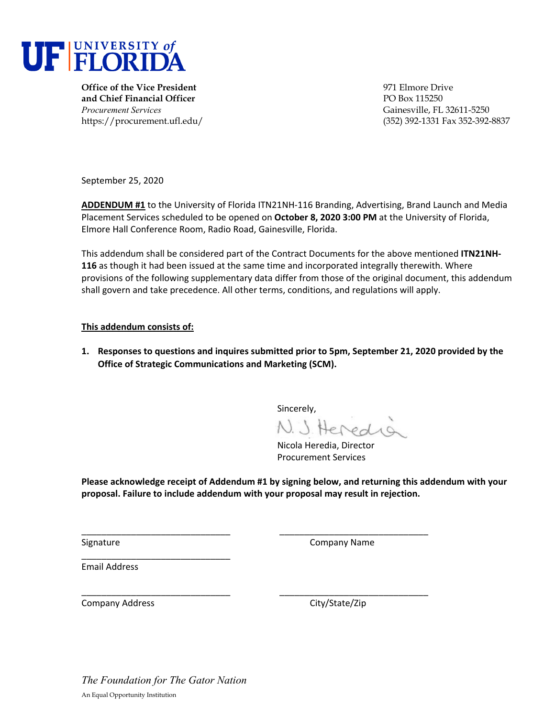

**Office of the Vice President** 971 Elmore Drive **and Chief Financial Officer** PO Box 115250 *Procurement Services* Gainesville, FL 32611-5250

https://procurement.ufl.edu/ (352) 392-1331 Fax 352-392-8837

September 25, 2020

**ADDENDUM #1** to the University of Florida ITN21NH‐116 Branding, Advertising, Brand Launch and Media Placement Services scheduled to be opened on **October 8, 2020 3:00 PM** at the University of Florida, Elmore Hall Conference Room, Radio Road, Gainesville, Florida.

This addendum shall be considered part of the Contract Documents for the above mentioned **ITN21NH‐ 116** as though it had been issued at the same time and incorporated integrally therewith. Where provisions of the following supplementary data differ from those of the original document, this addendum shall govern and take precedence. All other terms, conditions, and regulations will apply.

#### **This addendum consists of:**

**1. Responses to questions and inquires submitted prior to 5pm, September 21, 2020 provided by the Office of Strategic Communications and Marketing (SCM).**

Sincerely,

N. J. Heredia

Nicola Heredia, Director Procurement Services

**Please acknowledge receipt of Addendum #1 by signing below, and returning this addendum with your proposal. Failure to include addendum with your proposal may result in rejection.**

\_\_\_\_\_\_\_\_\_\_\_\_\_\_\_\_\_\_\_\_\_\_\_\_\_\_\_\_\_\_ \_\_\_\_\_\_\_\_\_\_\_\_\_\_\_\_\_\_\_\_\_\_\_\_\_\_\_\_\_\_

\_\_\_\_\_\_\_\_\_\_\_\_\_\_\_\_\_\_\_\_\_\_\_\_\_\_\_\_\_\_ \_\_\_\_\_\_\_\_\_\_\_\_\_\_\_\_\_\_\_\_\_\_\_\_\_\_\_\_\_\_

Signature **Company Name** 

Email Address

Company Address Company Address City/State/Zip

*The Foundation for The Gator Nation*  An Equal Opportunity Institution

\_\_\_\_\_\_\_\_\_\_\_\_\_\_\_\_\_\_\_\_\_\_\_\_\_\_\_\_\_\_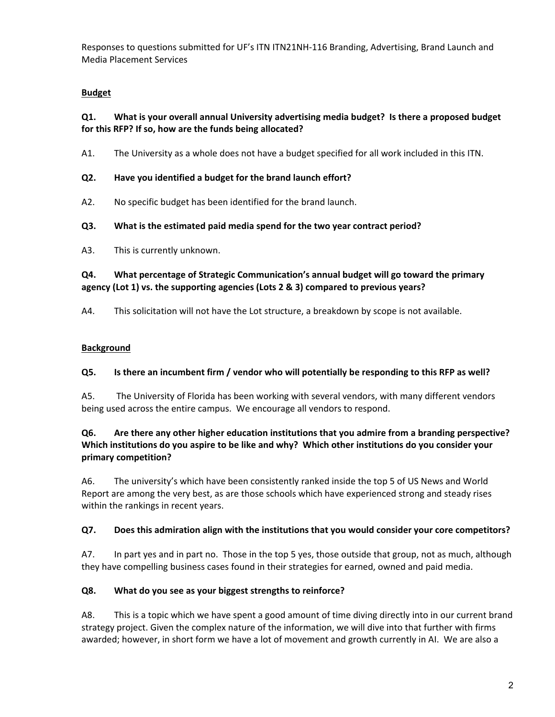# **Budget**

# **Q1. What is your overall annual University advertising media budget? Is there a proposed budget for this RFP? If so, how are the funds being allocated?**

A1. The University as a whole does not have a budget specified for all work included in this ITN.

# **Q2. Have you identified a budget for the brand launch effort?**

- A2. No specific budget has been identified for the brand launch.
- **Q3. What is the estimated paid media spend for the two year contract period?**
- A3. This is currently unknown.

# **Q4. What percentage of Strategic Communication's annual budget will go toward the primary agency (Lot 1) vs. the supporting agencies (Lots 2 & 3) compared to previous years?**

A4. This solicitation will not have the Lot structure, a breakdown by scope is not available.

# **Background**

## **Q5. Is there an incumbent firm / vendor who will potentially be responding to this RFP as well?**

A5. The University of Florida has been working with several vendors, with many different vendors being used across the entire campus. We encourage all vendors to respond.

# **Q6. Are there any other higher education institutions that you admire from a branding perspective?**  Which institutions do you aspire to be like and why? Which other institutions do you consider your **primary competition?**

A6. The university's which have been consistently ranked inside the top 5 of US News and World Report are among the very best, as are those schools which have experienced strong and steady rises within the rankings in recent years.

## **Q7. Does this admiration align with the institutions that you would consider your core competitors?**

A7. In part yes and in part no. Those in the top 5 yes, those outside that group, not as much, although they have compelling business cases found in their strategies for earned, owned and paid media.

## **Q8. What do you see as your biggest strengths to reinforce?**

A8. This is a topic which we have spent a good amount of time diving directly into in our current brand strategy project. Given the complex nature of the information, we will dive into that further with firms awarded; however, in short form we have a lot of movement and growth currently in AI. We are also a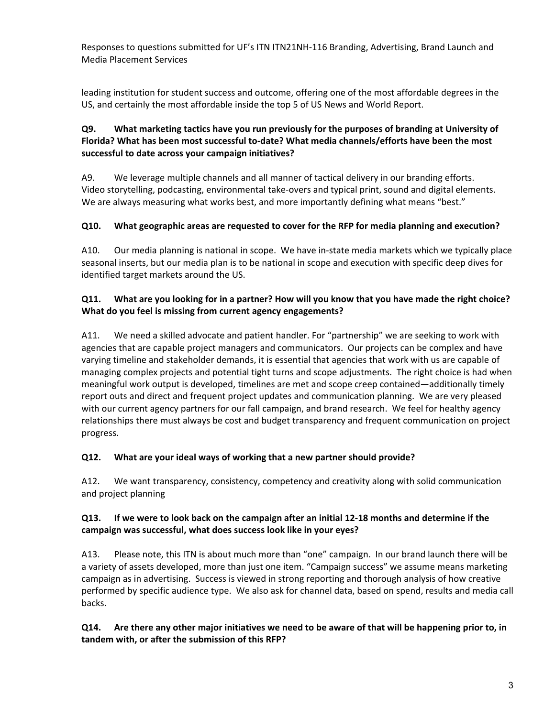leading institution for student success and outcome, offering one of the most affordable degrees in the US, and certainly the most affordable inside the top 5 of US News and World Report.

# **Q9. What marketing tactics have you run previously for the purposes of branding at University of Florida? What has been most successful to‐date? What media channels/efforts have been the most successful to date across your campaign initiatives?**

A9. We leverage multiple channels and all manner of tactical delivery in our branding efforts. Video storytelling, podcasting, environmental take‐overs and typical print, sound and digital elements. We are always measuring what works best, and more importantly defining what means "best."

# **Q10. What geographic areas are requested to cover for the RFP for media planning and execution?**

A10. Our media planning is national in scope. We have in‐state media markets which we typically place seasonal inserts, but our media plan is to be national in scope and execution with specific deep dives for identified target markets around the US.

# Q11. What are you looking for in a partner? How will you know that you have made the right choice? **What do you feel is missing from current agency engagements?**

A11. We need a skilled advocate and patient handler. For "partnership" we are seeking to work with agencies that are capable project managers and communicators. Our projects can be complex and have varying timeline and stakeholder demands, it is essential that agencies that work with us are capable of managing complex projects and potential tight turns and scope adjustments. The right choice is had when meaningful work output is developed, timelines are met and scope creep contained—additionally timely report outs and direct and frequent project updates and communication planning. We are very pleased with our current agency partners for our fall campaign, and brand research. We feel for healthy agency relationships there must always be cost and budget transparency and frequent communication on project progress.

## **Q12. What are your ideal ways of working that a new partner should provide?**

A12. We want transparency, consistency, competency and creativity along with solid communication and project planning

## Q13. If we were to look back on the campaign after an initial 12-18 months and determine if the **campaign was successful, what does success look like in your eyes?**

A13. Please note, this ITN is about much more than "one" campaign. In our brand launch there will be a variety of assets developed, more than just one item. "Campaign success" we assume means marketing campaign as in advertising. Success is viewed in strong reporting and thorough analysis of how creative performed by specific audience type. We also ask for channel data, based on spend, results and media call backs.

Q14. Are there any other major initiatives we need to be aware of that will be happening prior to, in **tandem with, or after the submission of this RFP?**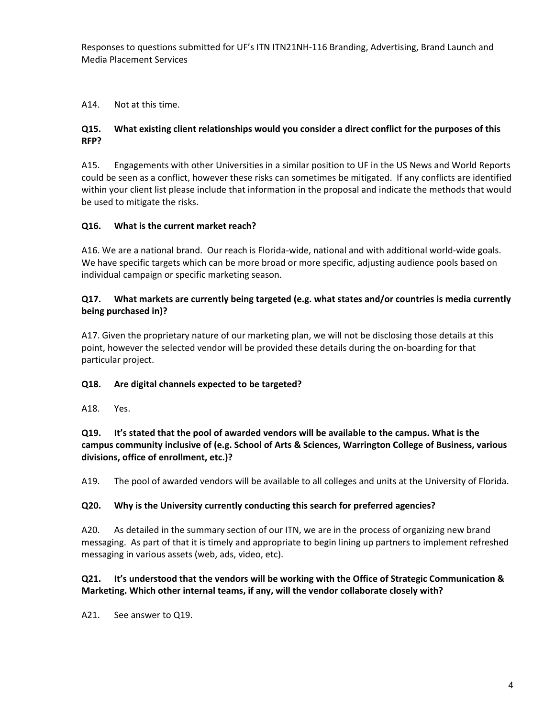#### A14. Not at this time.

#### **Q15. What existing client relationships would you consider a direct conflict for the purposes of this RFP?**

A15. Engagements with other Universities in a similar position to UF in the US News and World Reports could be seen as a conflict, however these risks can sometimes be mitigated. If any conflicts are identified within your client list please include that information in the proposal and indicate the methods that would be used to mitigate the risks.

#### **Q16. What is the current market reach?**

A16. We are a national brand. Our reach is Florida‐wide, national and with additional world‐wide goals. We have specific targets which can be more broad or more specific, adjusting audience pools based on individual campaign or specific marketing season.

#### **Q17. What markets are currently being targeted (e.g. what states and/or countries is media currently being purchased in)?**

A17. Given the proprietary nature of our marketing plan, we will not be disclosing those details at this point, however the selected vendor will be provided these details during the on‐boarding for that particular project.

## **Q18. Are digital channels expected to be targeted?**

A18. Yes.

**Q19. It's stated that the pool of awarded vendors will be available to the campus. What is the campus community inclusive of (e.g. School of Arts & Sciences, Warrington College of Business, various divisions, office of enrollment, etc.)?**

A19. The pool of awarded vendors will be available to all colleges and units at the University of Florida.

#### **Q20. Why is the University currently conducting this search for preferred agencies?**

A20. As detailed in the summary section of our ITN, we are in the process of organizing new brand messaging. As part of that it is timely and appropriate to begin lining up partners to implement refreshed messaging in various assets (web, ads, video, etc).

## **Q21. It's understood that the vendors will be working with the Office of Strategic Communication & Marketing. Which other internal teams, if any, will the vendor collaborate closely with?**

A21. See answer to Q19.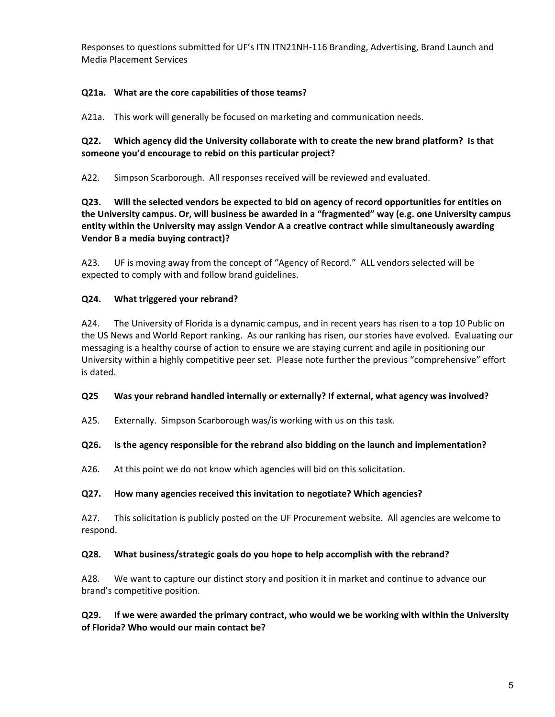## **Q21a. What are the core capabilities of those teams?**

A21a. This work will generally be focused on marketing and communication needs.

#### **Q22. Which agency did the University collaborate with to create the new brand platform? Is that someone you'd encourage to rebid on this particular project?**

A22. Simpson Scarborough. All responses received will be reviewed and evaluated.

**Q23. Will the selected vendors be expected to bid on agency of record opportunities for entities on the University campus. Or, will business be awarded in a "fragmented" way (e.g. one University campus entity within the University may assign Vendor A a creative contract while simultaneously awarding Vendor B a media buying contract)?**

A23. UF is moving away from the concept of "Agency of Record." ALL vendors selected will be expected to comply with and follow brand guidelines.

## **Q24. What triggered your rebrand?**

A24. The University of Florida is a dynamic campus, and in recent years has risen to a top 10 Public on the US News and World Report ranking. As our ranking has risen, our stories have evolved. Evaluating our messaging is a healthy course of action to ensure we are staying current and agile in positioning our University within a highly competitive peer set. Please note further the previous "comprehensive" effort is dated.

#### **Q25 Was your rebrand handled internally or externally? If external, what agency was involved?**

A25. Externally. Simpson Scarborough was/is working with us on this task.

#### **Q26. Is the agency responsible for the rebrand also bidding on the launch and implementation?**

A26. At this point we do not know which agencies will bid on this solicitation.

## **Q27. How many agencies received this invitation to negotiate? Which agencies?**

A27. This solicitation is publicly posted on the UF Procurement website. All agencies are welcome to respond.

#### **Q28. What business/strategic goals do you hope to help accomplish with the rebrand?**

A28. We want to capture our distinct story and position it in market and continue to advance our brand's competitive position.

## **Q29. If we were awarded the primary contract, who would we be working with within the University of Florida? Who would our main contact be?**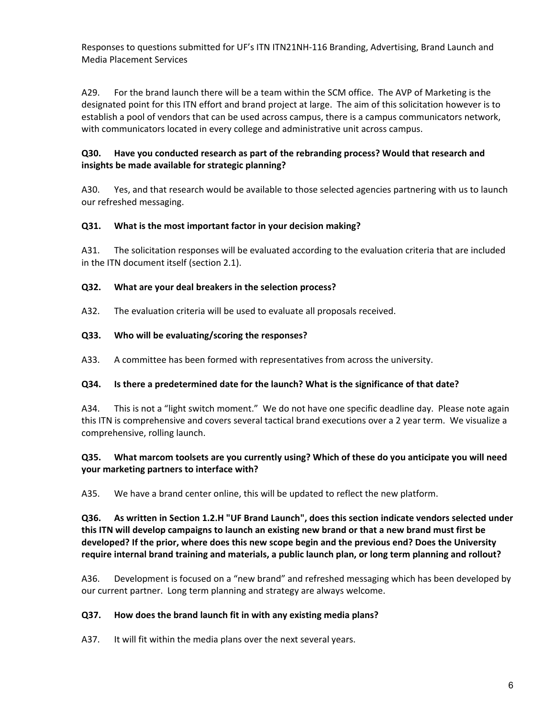A29. For the brand launch there will be a team within the SCM office. The AVP of Marketing is the designated point for this ITN effort and brand project at large. The aim of this solicitation however is to establish a pool of vendors that can be used across campus, there is a campus communicators network, with communicators located in every college and administrative unit across campus.

# **Q30. Have you conducted research as part of the rebranding process? Would that research and insights be made available for strategic planning?**

A30. Yes, and that research would be available to those selected agencies partnering with us to launch our refreshed messaging.

## **Q31. What is the most important factor in your decision making?**

A31. The solicitation responses will be evaluated according to the evaluation criteria that are included in the ITN document itself (section 2.1).

#### **Q32. What are your deal breakers in the selection process?**

A32. The evaluation criteria will be used to evaluate all proposals received.

#### **Q33. Who will be evaluating/scoring the responses?**

A33. A committee has been formed with representatives from across the university.

#### **Q34. Is there a predetermined date for the launch? What is the significance of that date?**

A34. This is not a "light switch moment." We do not have one specific deadline day. Please note again this ITN is comprehensive and covers several tactical brand executions over a 2 year term. We visualize a comprehensive, rolling launch.

## **Q35. What marcom toolsets are you currently using? Which of these do you anticipate you will need your marketing partners to interface with?**

A35. We have a brand center online, this will be updated to reflect the new platform.

**Q36. As written in Section 1.2.H "UF Brand Launch", does this section indicate vendors selected under** this ITN will develop campaigns to launch an existing new brand or that a new brand must first be **developed? If the prior, where does this new scope begin and the previous end? Does the University require internal brand training and materials, a public launch plan, or long term planning and rollout?**

A36. Development is focused on a "new brand" and refreshed messaging which has been developed by our current partner. Long term planning and strategy are always welcome.

## **Q37. How does the brand launch fit in with any existing media plans?**

A37. It will fit within the media plans over the next several years.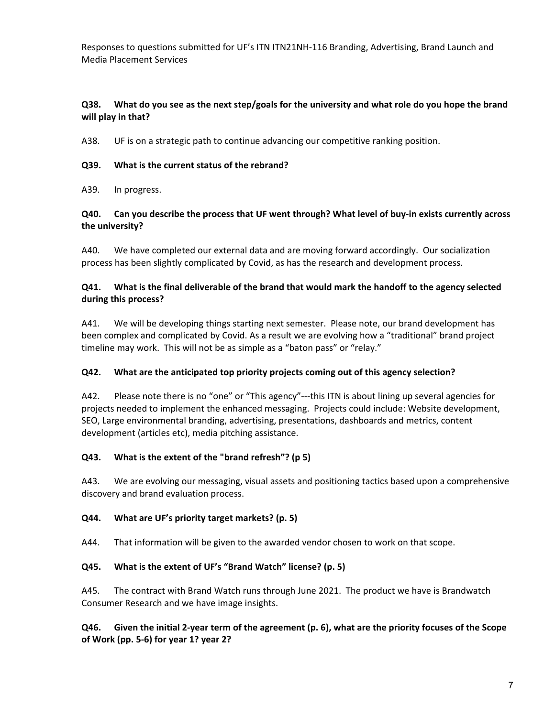#### Q38. What do you see as the next step/goals for the university and what role do you hope the brand **will play in that?**

A38. UF is on a strategic path to continue advancing our competitive ranking position.

#### **Q39. What is the current status of the rebrand?**

A39. In progress.

## Q40. Can you describe the process that UF went through? What level of buy-in exists currently across **the university?**

A40. We have completed our external data and are moving forward accordingly. Our socialization process has been slightly complicated by Covid, as has the research and development process.

## **Q41. What is the final deliverable of the brand that would mark the handoff to the agency selected during this process?**

A41. We will be developing things starting next semester. Please note, our brand development has been complex and complicated by Covid. As a result we are evolving how a "traditional" brand project timeline may work. This will not be as simple as a "baton pass" or "relay."

## **Q42. What are the anticipated top priority projects coming out of this agency selection?**

A42. Please note there is no "one" or "This agency"—-this ITN is about lining up several agencies for projects needed to implement the enhanced messaging. Projects could include: Website development, SEO, Large environmental branding, advertising, presentations, dashboards and metrics, content development (articles etc), media pitching assistance.

## **Q43. What is the extent of the "brand refresh"? (p 5)**

A43. We are evolving our messaging, visual assets and positioning tactics based upon a comprehensive discovery and brand evaluation process.

## **Q44. What are UF's priority target markets? (p. 5)**

A44. That information will be given to the awarded vendor chosen to work on that scope.

## **Q45. What is the extent of UF's "Brand Watch" license? (p. 5)**

A45. The contract with Brand Watch runs through June 2021. The product we have is Brandwatch Consumer Research and we have image insights.

Q46. Given the initial 2-year term of the agreement (p. 6), what are the priority focuses of the Scope **of Work (pp. 5‐6) for year 1? year 2?**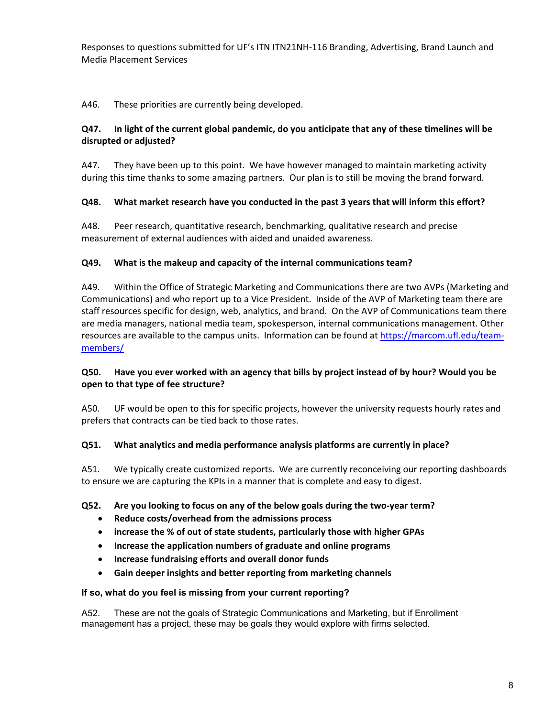A46. These priorities are currently being developed.

#### Q47. In light of the current global pandemic, do you anticipate that any of these timelines will be **disrupted or adjusted?**

A47. They have been up to this point. We have however managed to maintain marketing activity during this time thanks to some amazing partners. Our plan is to still be moving the brand forward.

## **Q48. What market research have you conducted in the past 3 years that will inform this effort?**

A48. Peer research, quantitative research, benchmarking, qualitative research and precise measurement of external audiences with aided and unaided awareness.

#### **Q49. What is the makeup and capacity of the internal communications team?**

A49. Within the Office of Strategic Marketing and Communications there are two AVPs (Marketing and Communications) and who report up to a Vice President. Inside of the AVP of Marketing team there are staff resources specific for design, web, analytics, and brand. On the AVP of Communications team there are media managers, national media team, spokesperson, internal communications management. Other resources are available to the campus units. Information can be found at https://marcom.ufl.edu/teammembers/

## Q50. Have you ever worked with an agency that bills by project instead of by hour? Would you be **open to that type of fee structure?**

A50. UF would be open to this for specific projects, however the university requests hourly rates and prefers that contracts can be tied back to those rates.

#### **Q51. What analytics and media performance analysis platforms are currently in place?**

A51. We typically create customized reports. We are currently reconceiving our reporting dashboards to ensure we are capturing the KPIs in a manner that is complete and easy to digest.

#### **Q52. Are you looking to focus on any of the below goals during the two‐year term?**

- **Reduce costs/overhead from the admissions process**
- **increase the % of out of state students, particularly those with higher GPAs**
- **Increase the application numbers of graduate and online programs**
- **Increase fundraising efforts and overall donor funds**
- **Gain deeper insights and better reporting from marketing channels**

#### **If so, what do you feel is missing from your current reporting?**

A52. These are not the goals of Strategic Communications and Marketing, but if Enrollment management has a project, these may be goals they would explore with firms selected.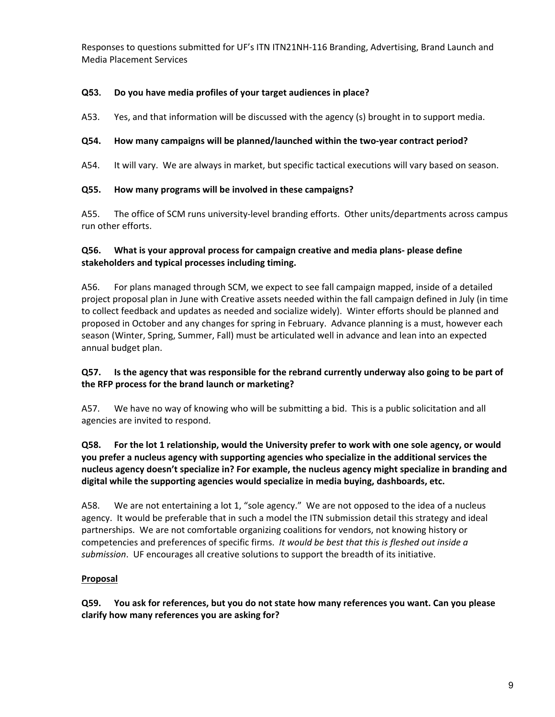## **Q53. Do you have media profiles of your target audiences in place?**

A53. Yes, and that information will be discussed with the agency (s) brought in to support media.

# **Q54. How many campaigns will be planned/launched within the two‐year contract period?**

A54. It will vary. We are always in market, but specific tactical executions will vary based on season.

# **Q55. How many programs will be involved in these campaigns?**

A55. The office of SCM runs university-level branding efforts. Other units/departments across campus run other efforts.

# **Q56. What is your approval process for campaign creative and media plans‐ please define stakeholders and typical processes including timing.**

A56. For plans managed through SCM, we expect to see fall campaign mapped, inside of a detailed project proposal plan in June with Creative assets needed within the fall campaign defined in July (in time to collect feedback and updates as needed and socialize widely). Winter efforts should be planned and proposed in October and any changes for spring in February. Advance planning is a must, however each season (Winter, Spring, Summer, Fall) must be articulated well in advance and lean into an expected annual budget plan.

# Q57. Is the agency that was responsible for the rebrand currently underway also going to be part of **the RFP process for the brand launch or marketing?**

A57. We have no way of knowing who will be submitting a bid. This is a public solicitation and all agencies are invited to respond.

# Q58. For the lot 1 relationship, would the University prefer to work with one sole agency, or would **you prefer a nucleus agency with supporting agencies who specialize in the additional services the nucleus agency doesn't specialize in? For example, the nucleus agency might specialize in branding and digital while the supporting agencies would specialize in media buying, dashboards, etc.**

A58. We are not entertaining a lot 1, "sole agency." We are not opposed to the idea of a nucleus agency. It would be preferable that in such a model the ITN submission detail this strategy and ideal partnerships. We are not comfortable organizing coalitions for vendors, not knowing history or competencies and preferences of specific firms. *It would be best that this is fleshed out inside a submission*. UF encourages all creative solutions to support the breadth of its initiative.

# **Proposal**

**Q59. You ask for references, but you do not state how many references you want. Can you please clarify how many references you are asking for?**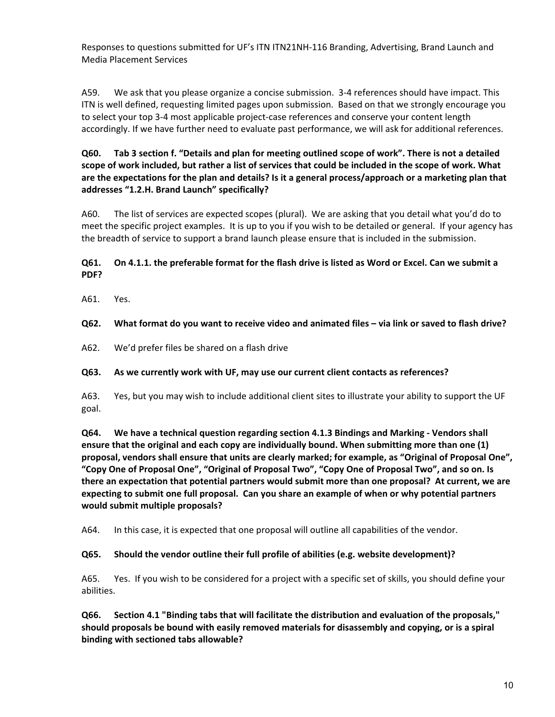A59. We ask that you please organize a concise submission. 3‐4 references should have impact. This ITN is well defined, requesting limited pages upon submission. Based on that we strongly encourage you to select your top 3‐4 most applicable project‐case references and conserve your content length accordingly. If we have further need to evaluate past performance, we will ask for additional references.

Q60. Tab 3 section f. "Details and plan for meeting outlined scope of work". There is not a detailed scope of work included, but rather a list of services that could be included in the scope of work. What are the expectations for the plan and details? Is it a general process/approach or a marketing plan that **addresses "1.2.H. Brand Launch" specifically?** 

A60. The list of services are expected scopes (plural). We are asking that you detail what you'd do to meet the specific project examples. It is up to you if you wish to be detailed or general. If your agency has the breadth of service to support a brand launch please ensure that is included in the submission.

## Q61. On 4.1.1. the preferable format for the flash drive is listed as Word or Excel. Can we submit a **PDF?**

A61. Yes.

## Q62. What format do you want to receive video and animated files - via link or saved to flash drive?

A62. We'd prefer files be shared on a flash drive

#### **Q63. As we currently work with UF, may use our current client contacts as references?**

A63. Yes, but you may wish to include additional client sites to illustrate your ability to support the UF goal.

**Q64. We have a technical question regarding section 4.1.3 Bindings and Marking ‐ Vendors shall ensure that the original and each copy are individually bound. When submitting more than one (1) proposal, vendors shall ensure that units are clearly marked; for example, as "Original of Proposal One", "Copy One of Proposal One", "Original of Proposal Two", "Copy One of Proposal Two", and so on. Is there an expectation that potential partners would submit more than one proposal? At current, we are expecting to submit one full proposal. Can you share an example of when or why potential partners would submit multiple proposals?**

A64. In this case, it is expected that one proposal will outline all capabilities of the vendor.

#### **Q65. Should the vendor outline their full profile of abilities (e.g. website development)?**

A65. Yes. If you wish to be considered for a project with a specific set of skills, you should define your abilities.

**Q66. Section 4.1 "Binding tabs that will facilitate the distribution and evaluation of the proposals," should proposals be bound with easily removed materials for disassembly and copying, or is a spiral binding with sectioned tabs allowable?**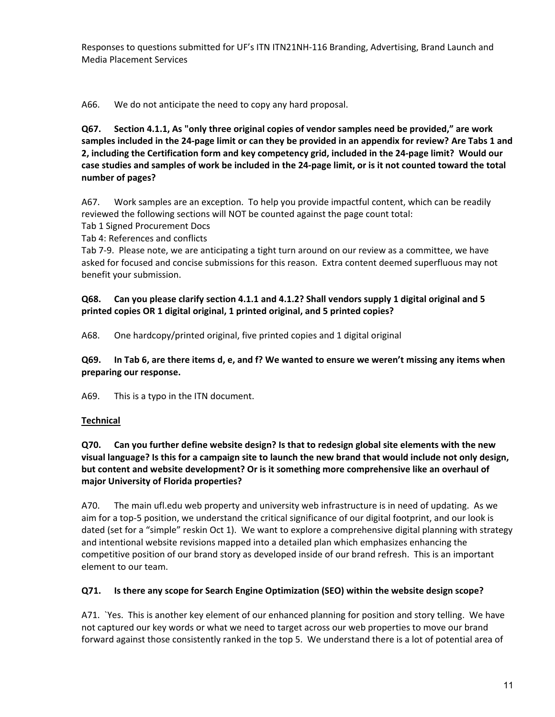A66. We do not anticipate the need to copy any hard proposal.

**Q67. Section 4.1.1, As "only three original copies of vendor samples need be provided," are work** samples included in the 24-page limit or can they be provided in an appendix for review? Are Tabs 1 and 2, including the Certification form and key competency grid, included in the 24-page limit? Would our case studies and samples of work be included in the 24-page limit, or is it not counted toward the total **number of pages?**

A67. Work samples are an exception. To help you provide impactful content, which can be readily reviewed the following sections will NOT be counted against the page count total:

Tab 1 Signed Procurement Docs

Tab 4: References and conflicts

Tab 7‐9. Please note, we are anticipating a tight turn around on our review as a committee, we have asked for focused and concise submissions for this reason. Extra content deemed superfluous may not benefit your submission.

# **Q68. Can you please clarify section 4.1.1 and 4.1.2? Shall vendors supply 1 digital original and 5 printed copies OR 1 digital original, 1 printed original, and 5 printed copies?**

A68. One hardcopy/printed original, five printed copies and 1 digital original

Q69. In Tab 6, are there items d, e, and f? We wanted to ensure we weren't missing any items when **preparing our response.**

A69. This is a typo in the ITN document.

# **Technical**

**Q70. Can you further define website design? Is that to redesign global site elements with the new** visual language? Is this for a campaign site to launch the new brand that would include not only design, **but content and website development? Or is it something more comprehensive like an overhaul of major University of Florida properties?**

A70. The main ufl.edu web property and university web infrastructure is in need of updating. As we aim for a top‐5 position, we understand the critical significance of our digital footprint, and our look is dated (set for a "simple" reskin Oct 1). We want to explore a comprehensive digital planning with strategy and intentional website revisions mapped into a detailed plan which emphasizes enhancing the competitive position of our brand story as developed inside of our brand refresh. This is an important element to our team.

## **Q71. Is there any scope for Search Engine Optimization (SEO) within the website design scope?**

A71. `Yes. This is another key element of our enhanced planning for position and story telling. We have not captured our key words or what we need to target across our web properties to move our brand forward against those consistently ranked in the top 5. We understand there is a lot of potential area of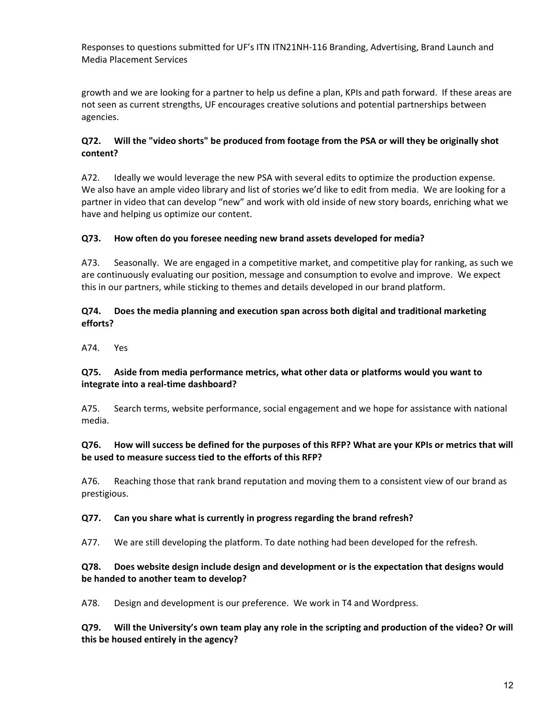growth and we are looking for a partner to help us define a plan, KPIs and path forward. If these areas are not seen as current strengths, UF encourages creative solutions and potential partnerships between agencies.

#### **Q72. Will the "video shorts" be produced from footage from the PSA or will they be originally shot content?**

A72. Ideally we would leverage the new PSA with several edits to optimize the production expense. We also have an ample video library and list of stories we'd like to edit from media. We are looking for a partner in video that can develop "new" and work with old inside of new story boards, enriching what we have and helping us optimize our content.

## **Q73. How often do you foresee needing new brand assets developed for media?**

A73. Seasonally. We are engaged in a competitive market, and competitive play for ranking, as such we are continuously evaluating our position, message and consumption to evolve and improve. We expect this in our partners, while sticking to themes and details developed in our brand platform.

#### **Q74. Does the media planning and execution span across both digital and traditional marketing efforts?**

A74. Yes

#### **Q75. Aside from media performance metrics, what other data or platforms would you want to integrate into a real‐time dashboard?**

A75. Search terms, website performance, social engagement and we hope for assistance with national media.

## Q76. How will success be defined for the purposes of this RFP? What are your KPIs or metrics that will **be used to measure success tied to the efforts of this RFP?**

A76. Reaching those that rank brand reputation and moving them to a consistent view of our brand as prestigious.

#### **Q77. Can you share what is currently in progress regarding the brand refresh?**

A77. We are still developing the platform. To date nothing had been developed for the refresh.

## **Q78. Does website design include design and development or is the expectation that designs would be handed to another team to develop?**

A78. Design and development is our preference. We work in T4 and Wordpress.

Q79. Will the University's own team play any role in the scripting and production of the video? Or will **this be housed entirely in the agency?**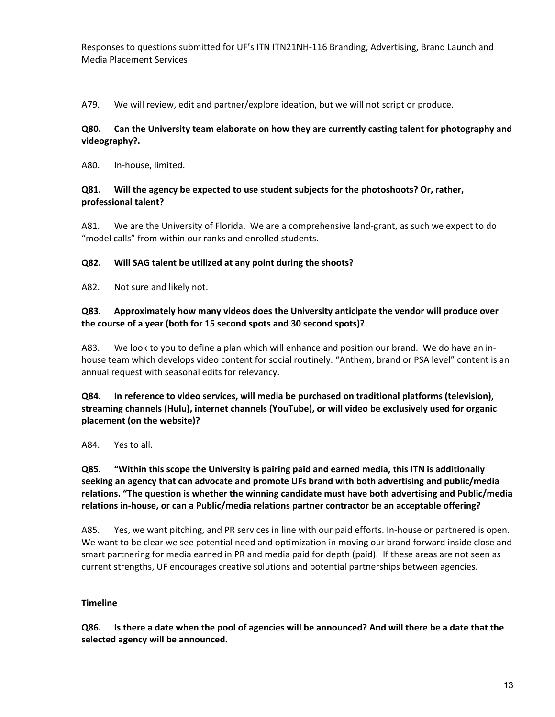A79. We will review, edit and partner/explore ideation, but we will not script or produce.

#### **Q80. Can the University team elaborate on how they are currently casting talent for photography and videography?.**

A80. In‐house, limited.

#### **Q81. Will the agency be expected to use student subjects for the photoshoots? Or, rather, professional talent?**

A81. We are the University of Florida. We are a comprehensive land‐grant, as such we expect to do "model calls" from within our ranks and enrolled students.

## **Q82. Will SAG talent be utilized at any point during the shoots?**

A82. Not sure and likely not.

#### **Q83. Approximately how many videos does the University anticipate the vendor will produce over the course of a year (both for 15 second spots and 30 second spots)?**

A83. We look to you to define a plan which will enhance and position our brand. We do have an in‐ house team which develops video content for social routinely. "Anthem, brand or PSA level" content is an annual request with seasonal edits for relevancy.

**Q84. In reference to video services, will media be purchased on traditional platforms (television), streaming channels (Hulu), internet channels (YouTube), or will video be exclusively used for organic placement (on the website)?**

A84. Yes to all.

**Q85. "Within this scope the University is pairing paid and earned media, this ITN is additionally seeking an agency that can advocate and promote UFs brand with both advertising and public/media relations. "The question is whether the winning candidate must have both advertising and Public/media relations in‐house, or can a Public/media relations partner contractor be an acceptable offering?**

A85. Yes, we want pitching, and PR services in line with our paid efforts. In‐house or partnered is open. We want to be clear we see potential need and optimization in moving our brand forward inside close and smart partnering for media earned in PR and media paid for depth (paid). If these areas are not seen as current strengths, UF encourages creative solutions and potential partnerships between agencies.

## **Timeline**

Q86. Is there a date when the pool of agencies will be announced? And will there be a date that the **selected agency will be announced.**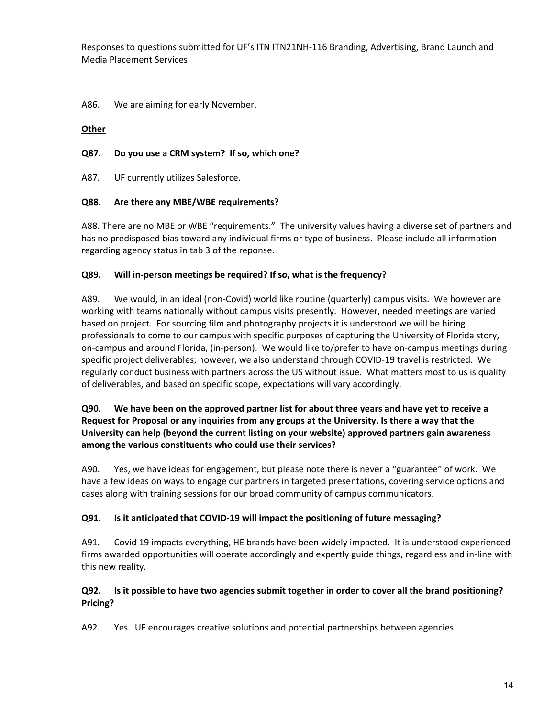A86. We are aiming for early November.

#### **Other**

#### **Q87. Do you use a CRM system? If so, which one?**

A87. UF currently utilizes Salesforce.

#### **Q88. Are there any MBE/WBE requirements?**

A88. There are no MBE or WBE "requirements." The university values having a diverse set of partners and has no predisposed bias toward any individual firms or type of business. Please include all information regarding agency status in tab 3 of the reponse.

#### **Q89. Will in‐person meetings be required? If so, what is the frequency?**

A89. We would, in an ideal (non-Covid) world like routine (quarterly) campus visits. We however are working with teams nationally without campus visits presently. However, needed meetings are varied based on project. For sourcing film and photography projects it is understood we will be hiring professionals to come to our campus with specific purposes of capturing the University of Florida story, on-campus and around Florida, (in-person). We would like to/prefer to have on-campus meetings during specific project deliverables; however, we also understand through COVID‐19 travel is restricted. We regularly conduct business with partners across the US without issue. What matters most to us is quality of deliverables, and based on specific scope, expectations will vary accordingly.

## Q90. We have been on the approved partner list for about three years and have yet to receive a **Request for Proposal or any inquiries from any groups at the University. Is there a way that the University can help (beyond the current listing on your website) approved partners gain awareness among the various constituents who could use their services?**

A90. Yes, we have ideas for engagement, but please note there is never a "guarantee" of work. We have a few ideas on ways to engage our partners in targeted presentations, covering service options and cases along with training sessions for our broad community of campus communicators.

## **Q91. Is it anticipated that COVID‐19 will impact the positioning of future messaging?**

A91. Covid 19 impacts everything, HE brands have been widely impacted. It is understood experienced firms awarded opportunities will operate accordingly and expertly guide things, regardless and in‐line with this new reality.

## Q92. Is it possible to have two agencies submit together in order to cover all the brand positioning? **Pricing?**

A92. Yes. UF encourages creative solutions and potential partnerships between agencies.